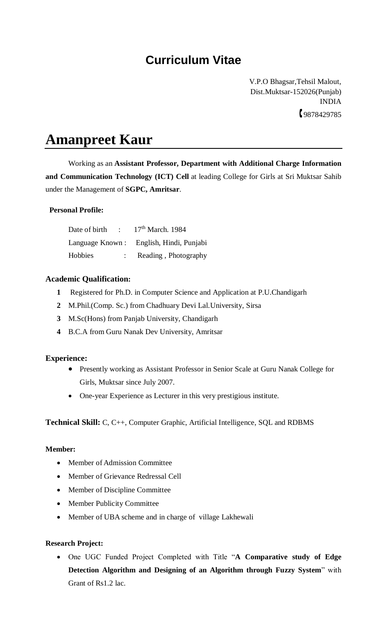# **Curriculum Vitae**

 V.P.O Bhagsar,Tehsil Malout, Dist.Muktsar-152026(Punjab) INDIA 9878429785

# **Amanpreet Kaur**

Working as an **Assistant Professor, Department with Additional Charge Information and Communication Technology (ICT) Cell** at leading College for Girls at Sri Muktsar Sahib under the Management of **SGPC, Amritsar**.

## **Personal Profile:**

| Date of birth | $\sim 10^{-11}$ | $17th$ March, 1984                      |
|---------------|-----------------|-----------------------------------------|
|               |                 | Language Known: English, Hindi, Punjabi |
| Hobbies       |                 | Reading, Photography                    |

## **Academic Qualification:**

- **1** Registered for Ph.D. in Computer Science and Application at P.U.Chandigarh
- **2** M.Phil.(Comp. Sc.) from Chadhuary Devi Lal.University, Sirsa
- **3** M.Sc(Hons) from Panjab University, Chandigarh
- **4** B.C.A from Guru Nanak Dev University, Amritsar

#### **Experience:**

- Presently working as Assistant Professor in Senior Scale at Guru Nanak College for Girls, Muktsar since July 2007.
- One-year Experience as Lecturer in this very prestigious institute.

**Technical Skill:** C, C++, Computer Graphic, Artificial Intelligence, SQL and RDBMS

#### **Member:**

- Member of Admission Committee
- Member of Grievance Redressal Cell
- Member of Discipline Committee
- Member Publicity Committee
- Member of UBA scheme and in charge of village Lakhewali

#### **Research Project:**

 One UGC Funded Project Completed with Title "**A Comparative study of Edge Detection Algorithm and Designing of an Algorithm through Fuzzy System**" with Grant of Rs1.2 lac.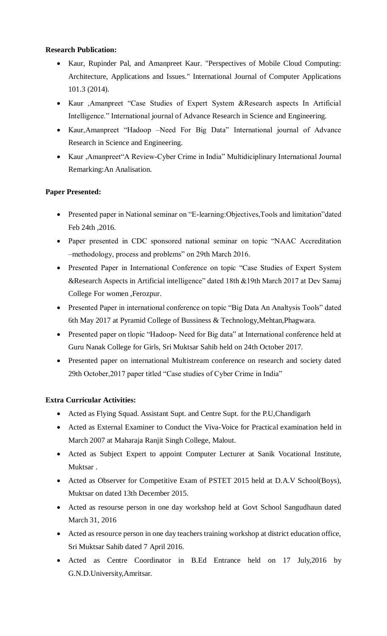#### **Research Publication:**

- Kaur, Rupinder Pal, and Amanpreet Kaur. "Perspectives of Mobile Cloud Computing: Architecture, Applications and Issues." International Journal of Computer Applications 101.3 (2014).
- Kaur ,Amanpreet "Case Studies of Expert System &Research aspects In Artificial Intelligence." International journal of Advance Research in Science and Engineering.
- Kaur,Amanpreet "Hadoop –Need For Big Data" International journal of Advance Research in Science and Engineering.
- Kaur ,Amanpreet"A Review-Cyber Crime in India" Multidiciplinary International Journal Remarking:An Analisation.

# **Paper Presented:**

- Presented paper in National seminar on "E-learning:Objectives,Tools and limitation"dated Feb 24th ,2016.
- Paper presented in CDC sponsored national seminar on topic "NAAC Accreditation –methodology, process and problems" on 29th March 2016.
- Presented Paper in International Conference on topic "Case Studies of Expert System &Research Aspects in Artificial intelligence" dated 18th &19th March 2017 at Dev Samaj College For women ,Ferozpur.
- Presented Paper in international conference on topic "Big Data An Analtysis Tools" dated 6th May 2017 at Pyramid College of Bussiness & Technology,Mehtan,Phagwara.
- Presented paper on tlopic "Hadoop- Need for Big data" at International conference held at Guru Nanak College for Girls, Sri Muktsar Sahib held on 24th October 2017.
- Presented paper on international Multistream conference on research and society dated 29th October,2017 paper titled "Case studies of Cyber Crime in India"

# **Extra Curricular Activities:**

- Acted as Flying Squad. Assistant Supt. and Centre Supt. for the P.U,Chandigarh
- Acted as External Examiner to Conduct the Viva-Voice for Practical examination held in March 2007 at Maharaja Ranjit Singh College, Malout.
- Acted as Subject Expert to appoint Computer Lecturer at Sanik Vocational Institute, Muktsar .
- Acted as Observer for Competitive Exam of PSTET 2015 held at D.A.V School(Boys), Muktsar on dated 13th December 2015.
- Acted as resourse person in one day workshop held at Govt School Sangudhaun dated March 31, 2016
- Acted as resource person in one day teachers training workshop at district education office, Sri Muktsar Sahib dated 7 April 2016.
- Acted as Centre Coordinator in B.Ed Entrance held on 17 July,2016 by G.N.D.University,Amritsar.